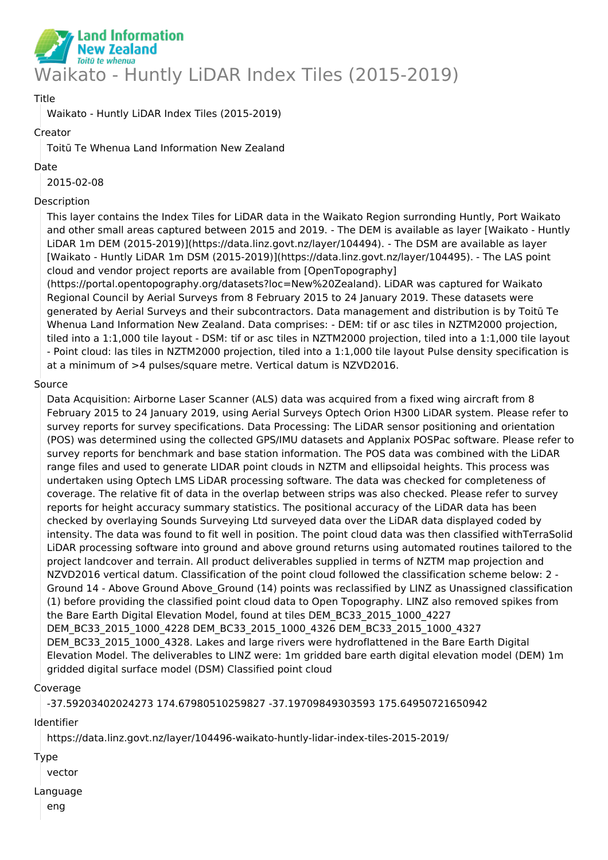

# Title

Waikato - Huntly LiDAR Index Tiles (2015-2019)

# Creator

Toitū Te Whenua Land Information New Zealand

## Date

2015-02-08

# Description

This layer contains the Index Tiles for LiDAR data in the Waikato Region surronding Huntly, Port Waikato and other small areas captured between 2015 and 2019. - The DEM is available as layer [Waikato - Huntly LiDAR 1m DEM (2015-2019)](https://data.linz.govt.nz/layer/104494). - The DSM are available as layer [Waikato - Huntly LiDAR 1m DSM (2015-2019)](https://data.linz.govt.nz/layer/104495). - The LAS point cloud and vendor project reports are available from [OpenTopography]

(https://portal.opentopography.org/datasets?loc=New%20Zealand). LiDAR was captured for Waikato Regional Council by Aerial Surveys from 8 February 2015 to 24 January 2019. These datasets were generated by Aerial Surveys and their subcontractors. Data management and distribution is by Toitū Te Whenua Land Information New Zealand. Data comprises: - DEM: tif or asc tiles in NZTM2000 projection, tiled into a 1:1,000 tile layout - DSM: tif or asc tiles in NZTM2000 projection, tiled into a 1:1,000 tile layout - Point cloud: las tiles in NZTM2000 projection, tiled into a 1:1,000 tile layout Pulse density specification is at a minimum of >4 pulses/square metre. Vertical datum is NZVD2016.

# Source

Data Acquisition: Airborne Laser Scanner (ALS) data was acquired from a fixed wing aircraft from 8 February 2015 to 24 January 2019, using Aerial Surveys Optech Orion H300 LiDAR system. Please refer to survey reports for survey specifications. Data Processing: The LiDAR sensor positioning and orientation (POS) was determined using the collected GPS/IMU datasets and Applanix POSPac software. Please refer to survey reports for benchmark and base station information. The POS data was combined with the LiDAR range files and used to generate LIDAR point clouds in NZTM and ellipsoidal heights. This process was undertaken using Optech LMS LiDAR processing software. The data was checked for completeness of coverage. The relative fit of data in the overlap between strips was also checked. Please refer to survey reports for height accuracy summary statistics. The positional accuracy of the LiDAR data has been checked by overlaying Sounds Surveying Ltd surveyed data over the LiDAR data displayed coded by intensity. The data was found to fit well in position. The point cloud data was then classified withTerraSolid LiDAR processing software into ground and above ground returns using automated routines tailored to the project landcover and terrain. All product deliverables supplied in terms of NZTM map projection and NZVD2016 vertical datum. Classification of the point cloud followed the classification scheme below: 2 - Ground 14 - Above Ground Above\_Ground (14) points was reclassified by LINZ as Unassigned classification (1) before providing the classified point cloud data to Open Topography. LINZ also removed spikes from the Bare Earth Digital Elevation Model, found at tiles DEM\_BC33\_2015\_1000\_4227 DEM\_BC33\_2015\_1000\_4228 DEM\_BC33\_2015\_1000\_4326 DEM\_BC33\_2015\_1000\_4327 DEM\_BC33\_2015\_1000\_4328. Lakes and large rivers were hydroflattened in the Bare Earth Digital Elevation Model. The deliverables to LINZ were: 1m gridded bare earth digital elevation model (DEM) 1m gridded digital surface model (DSM) Classified point cloud

### Coverage

-37.59203402024273 174.67980510259827 -37.19709849303593 175.64950721650942

Identifier

https://data.linz.govt.nz/layer/104496-waikato-huntly-lidar-index-tiles-2015-2019/

### Type

vector

### Language

eng